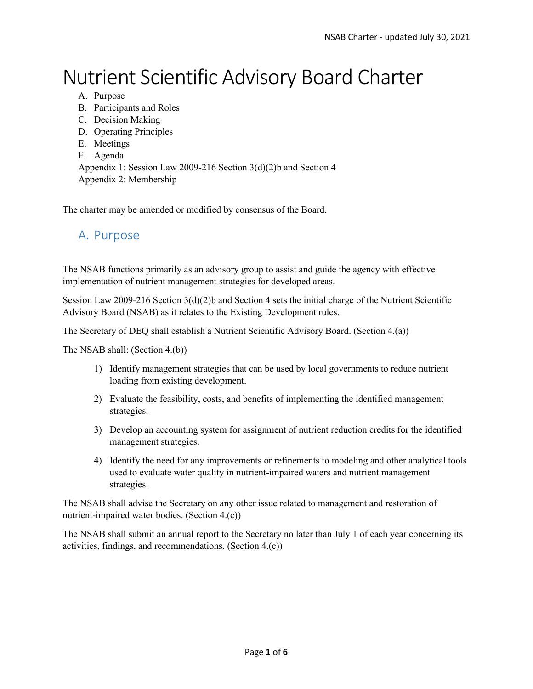# Nutrient Scientific Advisory Board Charter

- A. Purpose
- B. Participants and Roles
- C. Decision Making
- D. Operating Principles
- E. Meetings
- F. Agenda

Appendix 1: Session Law 2009-216 Section 3(d)(2)b and Section 4 Appendix 2: Membership

The charter may be amended or modified by consensus of the Board.

#### A. Purpose

The NSAB functions primarily as an advisory group to assist and guide the agency with effective implementation of nutrient management strategies for developed areas.

Session Law 2009-216 Section 3(d)(2)b and Section 4 sets the initial charge of the Nutrient Scientific Advisory Board (NSAB) as it relates to the Existing Development rules.

The Secretary of DEQ shall establish a Nutrient Scientific Advisory Board. (Section 4.(a))

The NSAB shall: (Section 4.(b))

- 1) Identify management strategies that can be used by local governments to reduce nutrient loading from existing development.
- 2) Evaluate the feasibility, costs, and benefits of implementing the identified management strategies.
- 3) Develop an accounting system for assignment of nutrient reduction credits for the identified management strategies.
- 4) Identify the need for any improvements or refinements to modeling and other analytical tools used to evaluate water quality in nutrient-impaired waters and nutrient management strategies.

The NSAB shall advise the Secretary on any other issue related to management and restoration of nutrient-impaired water bodies. (Section 4.(c))

The NSAB shall submit an annual report to the Secretary no later than July 1 of each year concerning its activities, findings, and recommendations. (Section 4.(c))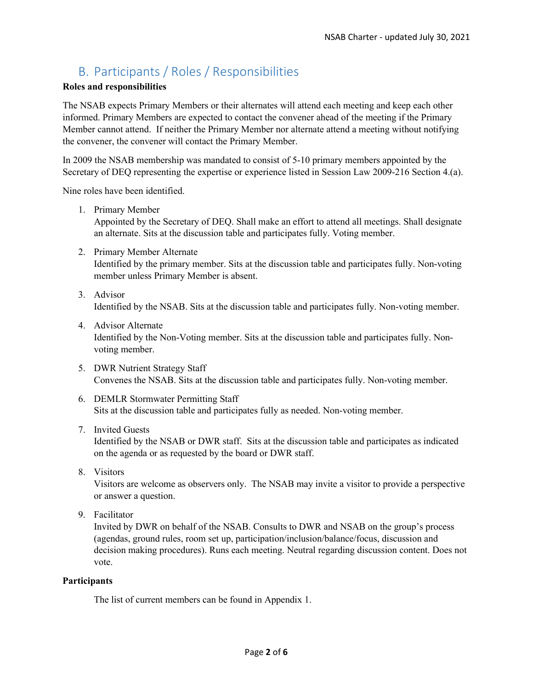## B. Participants / Roles / Responsibilities

#### **Roles and responsibilities**

The NSAB expects Primary Members or their alternates will attend each meeting and keep each other informed. Primary Members are expected to contact the convener ahead of the meeting if the Primary Member cannot attend. If neither the Primary Member nor alternate attend a meeting without notifying the convener, the convener will contact the Primary Member.

In 2009 the NSAB membership was mandated to consist of 5-10 primary members appointed by the Secretary of DEQ representing the expertise or experience listed in Session Law 2009-216 Section 4.(a).

Nine roles have been identified.

1. Primary Member

Appointed by the Secretary of DEQ. Shall make an effort to attend all meetings. Shall designate an alternate. Sits at the discussion table and participates fully. Voting member.

- 2. Primary Member Alternate Identified by the primary member. Sits at the discussion table and participates fully. Non-voting member unless Primary Member is absent.
- 3. Advisor Identified by the NSAB. Sits at the discussion table and participates fully. Non-voting member.
- 4. Advisor Alternate Identified by the Non-Voting member. Sits at the discussion table and participates fully. Nonvoting member.
- 5. DWR Nutrient Strategy Staff Convenes the NSAB. Sits at the discussion table and participates fully. Non-voting member.
- 6. DEMLR Stormwater Permitting Staff Sits at the discussion table and participates fully as needed. Non-voting member.

#### 7. Invited Guests

Identified by the NSAB or DWR staff. Sits at the discussion table and participates as indicated on the agenda or as requested by the board or DWR staff.

8. Visitors

Visitors are welcome as observers only. The NSAB may invite a visitor to provide a perspective or answer a question.

9. Facilitator

Invited by DWR on behalf of the NSAB. Consults to DWR and NSAB on the group's process (agendas, ground rules, room set up, participation/inclusion/balance/focus, discussion and decision making procedures). Runs each meeting. Neutral regarding discussion content. Does not vote.

#### **Participants**

The list of current members can be found in Appendix 1.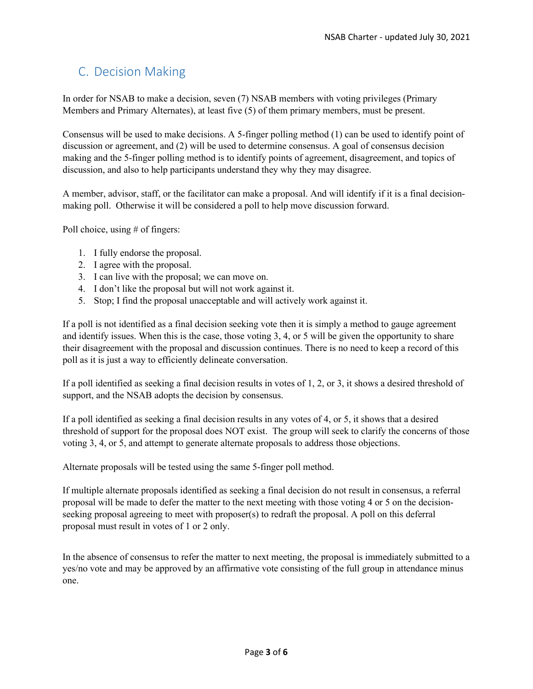## C. Decision Making

In order for NSAB to make a decision, seven (7) NSAB members with voting privileges (Primary Members and Primary Alternates), at least five (5) of them primary members, must be present.

Consensus will be used to make decisions. A 5-finger polling method (1) can be used to identify point of discussion or agreement, and (2) will be used to determine consensus. A goal of consensus decision making and the 5-finger polling method is to identify points of agreement, disagreement, and topics of discussion, and also to help participants understand they why they may disagree.

A member, advisor, staff, or the facilitator can make a proposal. And will identify if it is a final decisionmaking poll. Otherwise it will be considered a poll to help move discussion forward.

Poll choice, using # of fingers:

- 1. I fully endorse the proposal.
- 2. I agree with the proposal.
- 3. I can live with the proposal; we can move on.
- 4. I don't like the proposal but will not work against it.
- 5. Stop; I find the proposal unacceptable and will actively work against it.

If a poll is not identified as a final decision seeking vote then it is simply a method to gauge agreement and identify issues. When this is the case, those voting 3, 4, or 5 will be given the opportunity to share their disagreement with the proposal and discussion continues. There is no need to keep a record of this poll as it is just a way to efficiently delineate conversation.

If a poll identified as seeking a final decision results in votes of 1, 2, or 3, it shows a desired threshold of support, and the NSAB adopts the decision by consensus.

If a poll identified as seeking a final decision results in any votes of 4, or 5, it shows that a desired threshold of support for the proposal does NOT exist. The group will seek to clarify the concerns of those voting 3, 4, or 5, and attempt to generate alternate proposals to address those objections.

Alternate proposals will be tested using the same 5-finger poll method.

If multiple alternate proposals identified as seeking a final decision do not result in consensus, a referral proposal will be made to defer the matter to the next meeting with those voting 4 or 5 on the decisionseeking proposal agreeing to meet with proposer(s) to redraft the proposal. A poll on this deferral proposal must result in votes of 1 or 2 only.

In the absence of consensus to refer the matter to next meeting, the proposal is immediately submitted to a yes/no vote and may be approved by an affirmative vote consisting of the full group in attendance minus one.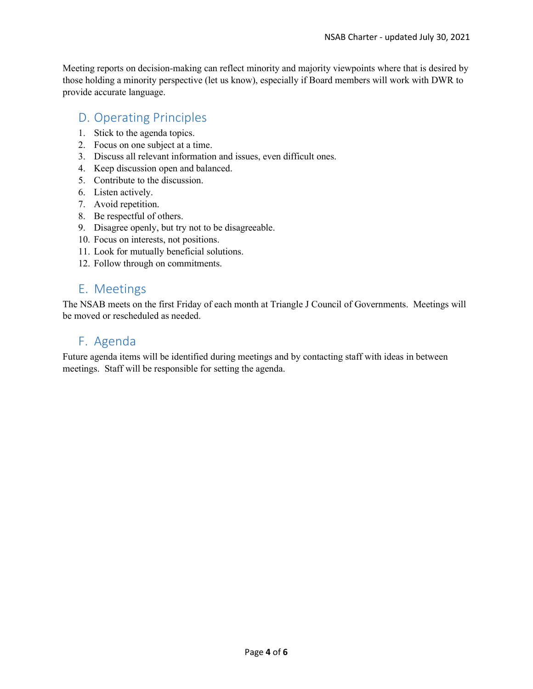Meeting reports on decision-making can reflect minority and majority viewpoints where that is desired by those holding a minority perspective (let us know), especially if Board members will work with DWR to provide accurate language.

## D. Operating Principles

- 1. Stick to the agenda topics.
- 2. Focus on one subject at a time.
- 3. Discuss all relevant information and issues, even difficult ones.
- 4. Keep discussion open and balanced.
- 5. Contribute to the discussion.
- 6. Listen actively.
- 7. Avoid repetition.
- 8. Be respectful of others.
- 9. Disagree openly, but try not to be disagreeable.
- 10. Focus on interests, not positions.
- 11. Look for mutually beneficial solutions.
- 12. Follow through on commitments.

## E. Meetings

The NSAB meets on the first Friday of each month at Triangle J Council of Governments. Meetings will be moved or rescheduled as needed.

### F. Agenda

Future agenda items will be identified during meetings and by contacting staff with ideas in between meetings. Staff will be responsible for setting the agenda.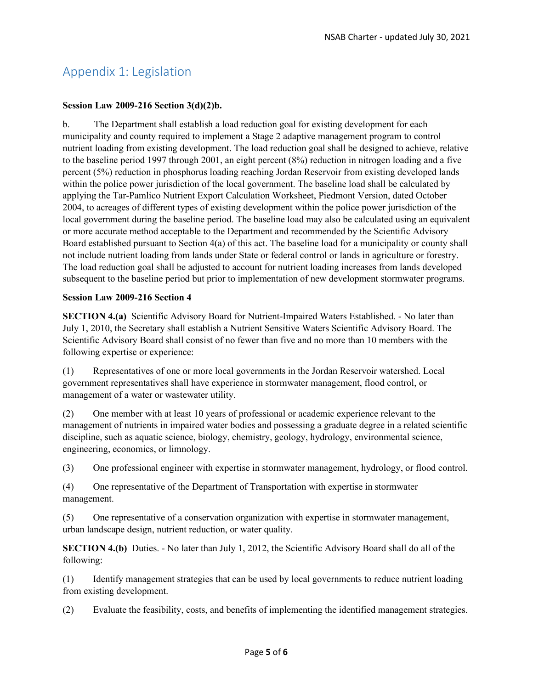# Appendix 1: Legislation

#### **Session Law 2009-216 Section 3(d)(2)b.**

b. The Department shall establish a load reduction goal for existing development for each municipality and county required to implement a Stage 2 adaptive management program to control nutrient loading from existing development. The load reduction goal shall be designed to achieve, relative to the baseline period 1997 through 2001, an eight percent (8%) reduction in nitrogen loading and a five percent (5%) reduction in phosphorus loading reaching Jordan Reservoir from existing developed lands within the police power jurisdiction of the local government. The baseline load shall be calculated by applying the Tar-Pamlico Nutrient Export Calculation Worksheet, Piedmont Version, dated October 2004, to acreages of different types of existing development within the police power jurisdiction of the local government during the baseline period. The baseline load may also be calculated using an equivalent or more accurate method acceptable to the Department and recommended by the Scientific Advisory Board established pursuant to Section 4(a) of this act. The baseline load for a municipality or county shall not include nutrient loading from lands under State or federal control or lands in agriculture or forestry. The load reduction goal shall be adjusted to account for nutrient loading increases from lands developed subsequent to the baseline period but prior to implementation of new development stormwater programs.

#### **Session Law 2009-216 Section 4**

**SECTION 4.(a)** Scientific Advisory Board for Nutrient-Impaired Waters Established. - No later than July 1, 2010, the Secretary shall establish a Nutrient Sensitive Waters Scientific Advisory Board. The Scientific Advisory Board shall consist of no fewer than five and no more than 10 members with the following expertise or experience:

(1) Representatives of one or more local governments in the Jordan Reservoir watershed. Local government representatives shall have experience in stormwater management, flood control, or management of a water or wastewater utility.

(2) One member with at least 10 years of professional or academic experience relevant to the management of nutrients in impaired water bodies and possessing a graduate degree in a related scientific discipline, such as aquatic science, biology, chemistry, geology, hydrology, environmental science, engineering, economics, or limnology.

(3) One professional engineer with expertise in stormwater management, hydrology, or flood control.

(4) One representative of the Department of Transportation with expertise in stormwater management.

(5) One representative of a conservation organization with expertise in stormwater management, urban landscape design, nutrient reduction, or water quality.

**SECTION 4.(b)** Duties. - No later than July 1, 2012, the Scientific Advisory Board shall do all of the following:

(1) Identify management strategies that can be used by local governments to reduce nutrient loading from existing development.

(2) Evaluate the feasibility, costs, and benefits of implementing the identified management strategies.